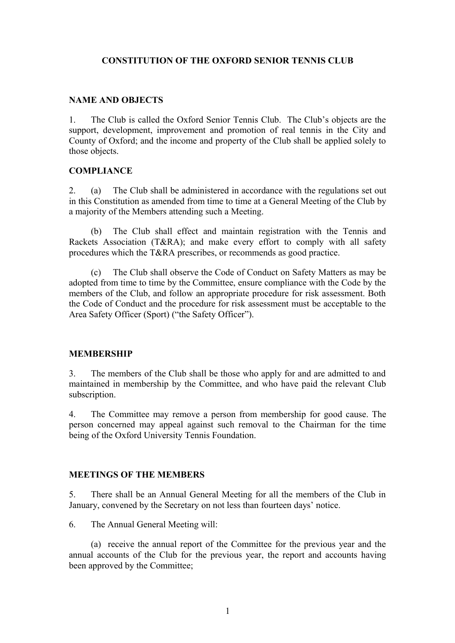## **CONSTITUTION OF THE OXFORD SENIOR TENNIS CLUB**

#### **NAME AND OBJECTS**

1. The Club is called the Oxford Senior Tennis Club. The Club's objects are the support, development, improvement and promotion of real tennis in the City and County of Oxford; and the income and property of the Club shall be applied solely to those objects.

#### **COMPLIANCE**

2. (a) The Club shall be administered in accordance with the regulations set out in this Constitution as amended from time to time at a General Meeting of the Club by a majority of the Members attending such a Meeting.

(b) The Club shall effect and maintain registration with the Tennis and Rackets Association (T&RA); and make every effort to comply with all safety procedures which the T&RA prescribes, or recommends as good practice.

(c) The Club shall observe the Code of Conduct on Safety Matters as may be adopted from time to time by the Committee, ensure compliance with the Code by the members of the Club, and follow an appropriate procedure for risk assessment. Both the Code of Conduct and the procedure for risk assessment must be acceptable to the Area Safety Officer (Sport) ("the Safety Officer").

#### **MEMBERSHIP**

3. The members of the Club shall be those who apply for and are admitted to and maintained in membership by the Committee, and who have paid the relevant Club subscription.

4. The Committee may remove a person from membership for good cause. The person concerned may appeal against such removal to the Chairman for the time being of the Oxford University Tennis Foundation.

#### **MEETINGS OF THE MEMBERS**

5. There shall be an Annual General Meeting for all the members of the Club in January, convened by the Secretary on not less than fourteen days' notice.

6. The Annual General Meeting will:

(a) receive the annual report of the Committee for the previous year and the annual accounts of the Club for the previous year, the report and accounts having been approved by the Committee;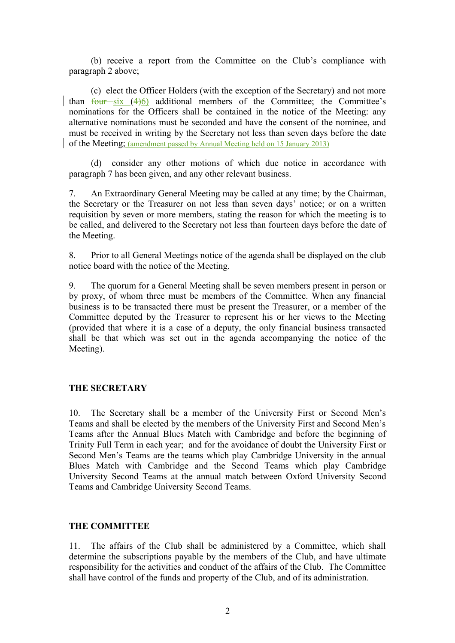(b) receive a report from the Committee on the Club's compliance with paragraph 2 above;

(c) elect the Officer Holders (with the exception of the Secretary) and not more than  $f_{\text{out}}$  six (4)6) additional members of the Committee; the Committee's nominations for the Officers shall be contained in the notice of the Meeting: any alternative nominations must be seconded and have the consent of the nominee, and must be received in writing by the Secretary not less than seven days before the date of the Meeting; (amendment passed by Annual Meeting held on 15 January 2013)

(d) consider any other motions of which due notice in accordance with paragraph 7 has been given, and any other relevant business.

7. An Extraordinary General Meeting may be called at any time; by the Chairman, the Secretary or the Treasurer on not less than seven days' notice; or on a written requisition by seven or more members, stating the reason for which the meeting is to be called, and delivered to the Secretary not less than fourteen days before the date of the Meeting.

8. Prior to all General Meetings notice of the agenda shall be displayed on the club notice board with the notice of the Meeting.

9. The quorum for a General Meeting shall be seven members present in person or by proxy, of whom three must be members of the Committee. When any financial business is to be transacted there must be present the Treasurer, or a member of the Committee deputed by the Treasurer to represent his or her views to the Meeting (provided that where it is a case of a deputy, the only financial business transacted shall be that which was set out in the agenda accompanying the notice of the Meeting).

#### **THE SECRETARY**

10. The Secretary shall be a member of the University First or Second Men's Teams and shall be elected by the members of the University First and Second Men's Teams after the Annual Blues Match with Cambridge and before the beginning of Trinity Full Term in each year; and for the avoidance of doubt the University First or Second Men's Teams are the teams which play Cambridge University in the annual Blues Match with Cambridge and the Second Teams which play Cambridge University Second Teams at the annual match between Oxford University Second Teams and Cambridge University Second Teams.

## **THE COMMITTEE**

11. The affairs of the Club shall be administered by a Committee, which shall determine the subscriptions payable by the members of the Club, and have ultimate responsibility for the activities and conduct of the affairs of the Club. The Committee shall have control of the funds and property of the Club, and of its administration.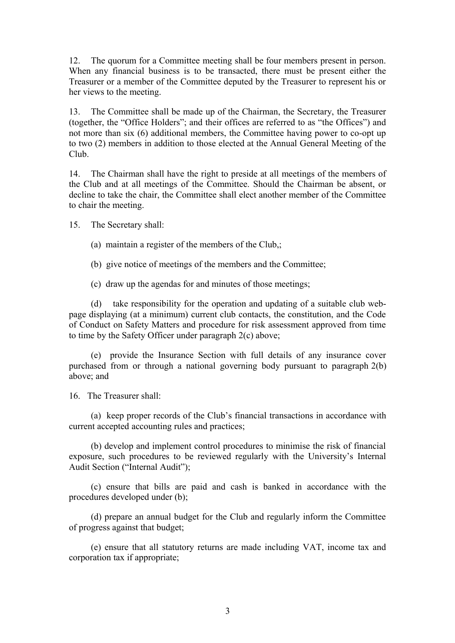12. The quorum for a Committee meeting shall be four members present in person. When any financial business is to be transacted, there must be present either the Treasurer or a member of the Committee deputed by the Treasurer to represent his or her views to the meeting.

13. The Committee shall be made up of the Chairman, the Secretary, the Treasurer (together, the "Office Holders"; and their offices are referred to as "the Offices") and not more than six (6) additional members, the Committee having power to co-opt up to two (2) members in addition to those elected at the Annual General Meeting of the Club.

14. The Chairman shall have the right to preside at all meetings of the members of the Club and at all meetings of the Committee. Should the Chairman be absent, or decline to take the chair, the Committee shall elect another member of the Committee to chair the meeting.

15. The Secretary shall:

- (a) maintain a register of the members of the Club,;
- (b) give notice of meetings of the members and the Committee;

(c) draw up the agendas for and minutes of those meetings;

(d) take responsibility for the operation and updating of a suitable club webpage displaying (at a minimum) current club contacts, the constitution, and the Code of Conduct on Safety Matters and procedure for risk assessment approved from time to time by the Safety Officer under paragraph 2(c) above;

(e) provide the Insurance Section with full details of any insurance cover purchased from or through a national governing body pursuant to paragraph 2(b) above; and

16. The Treasurer shall:

(a) keep proper records of the Club's financial transactions in accordance with current accepted accounting rules and practices;

(b) develop and implement control procedures to minimise the risk of financial exposure, such procedures to be reviewed regularly with the University's Internal Audit Section ("Internal Audit");

(c) ensure that bills are paid and cash is banked in accordance with the procedures developed under (b);

(d) prepare an annual budget for the Club and regularly inform the Committee of progress against that budget;

(e) ensure that all statutory returns are made including VAT, income tax and corporation tax if appropriate;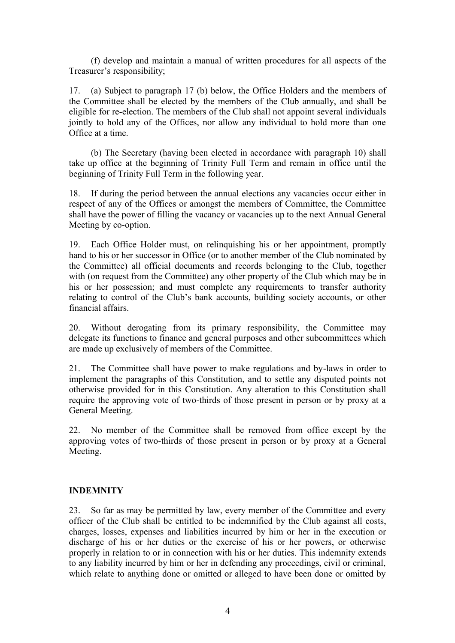(f) develop and maintain a manual of written procedures for all aspects of the Treasurer's responsibility;

17. (a) Subject to paragraph 17 (b) below, the Office Holders and the members of the Committee shall be elected by the members of the Club annually, and shall be eligible for re-election. The members of the Club shall not appoint several individuals jointly to hold any of the Offices, nor allow any individual to hold more than one Office at a time.

(b) The Secretary (having been elected in accordance with paragraph 10) shall take up office at the beginning of Trinity Full Term and remain in office until the beginning of Trinity Full Term in the following year.

18. If during the period between the annual elections any vacancies occur either in respect of any of the Offices or amongst the members of Committee, the Committee shall have the power of filling the vacancy or vacancies up to the next Annual General Meeting by co-option.

19. Each Office Holder must, on relinquishing his or her appointment, promptly hand to his or her successor in Office (or to another member of the Club nominated by the Committee) all official documents and records belonging to the Club, together with (on request from the Committee) any other property of the Club which may be in his or her possession; and must complete any requirements to transfer authority relating to control of the Club's bank accounts, building society accounts, or other financial affairs.

20. Without derogating from its primary responsibility, the Committee may delegate its functions to finance and general purposes and other subcommittees which are made up exclusively of members of the Committee.

21. The Committee shall have power to make regulations and by-laws in order to implement the paragraphs of this Constitution, and to settle any disputed points not otherwise provided for in this Constitution. Any alteration to this Constitution shall require the approving vote of two-thirds of those present in person or by proxy at a General Meeting.

22. No member of the Committee shall be removed from office except by the approving votes of two-thirds of those present in person or by proxy at a General Meeting.

# **INDEMNITY**

23. So far as may be permitted by law, every member of the Committee and every officer of the Club shall be entitled to be indemnified by the Club against all costs, charges, losses, expenses and liabilities incurred by him or her in the execution or discharge of his or her duties or the exercise of his or her powers, or otherwise properly in relation to or in connection with his or her duties. This indemnity extends to any liability incurred by him or her in defending any proceedings, civil or criminal, which relate to anything done or omitted or alleged to have been done or omitted by